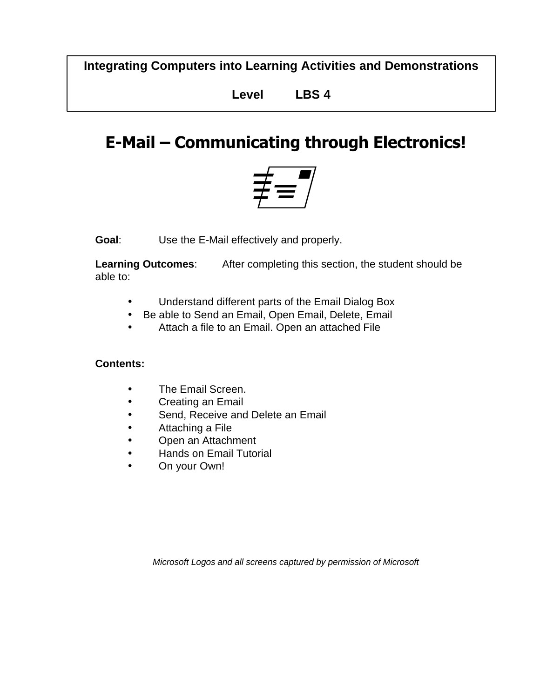**Integrating Computers into Learning Activities and Demonstrations**

**Level LBS 4**

# **E-Mail – Communicating through Electronics!**



**Goal**: Use the E-Mail effectively and properly.

**Learning Outcomes**: After completing this section, the student should be able to:

- Understand different parts of the Email Dialog Box
- Be able to Send an Email, Open Email, Delete, Email
- Attach a file to an Email. Open an attached File

#### **Contents:**

- The Email Screen.
- Creating an Email
- Send, Receive and Delete an Email
- Attaching a File
- Open an Attachment
- Hands on Email Tutorial
- On your Own!

*Microsoft Logos and all screens captured by permission of Microsoft*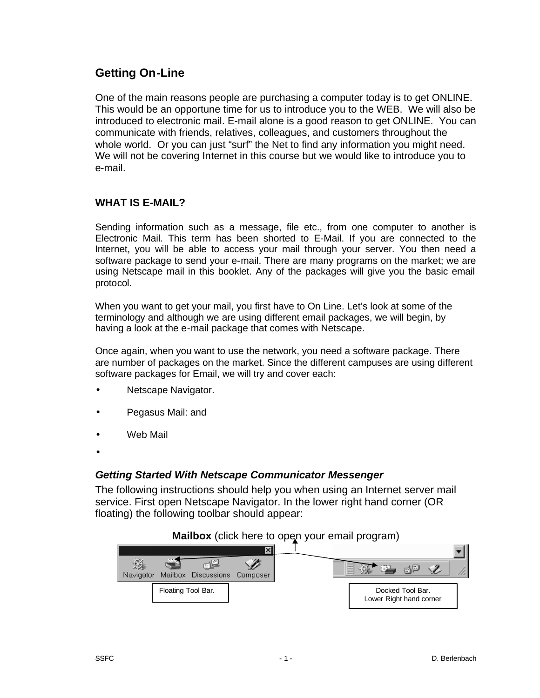### **Getting On-Line**

One of the main reasons people are purchasing a computer today is to get ONLINE. This would be an opportune time for us to introduce you to the WEB. We will also be introduced to electronic mail. E-mail alone is a good reason to get ONLINE. You can communicate with friends, relatives, colleagues, and customers throughout the whole world. Or you can just "surf" the Net to find any information you might need. We will not be covering Internet in this course but we would like to introduce you to e-mail.

#### **WHAT IS E-MAIL?**

Sending information such as a message, file etc., from one computer to another is Electronic Mail. This term has been shorted to E-Mail. If you are connected to the Internet, you will be able to access your mail through your server. You then need a software package to send your e-mail. There are many programs on the market; we are using Netscape mail in this booklet. Any of the packages will give you the basic email protocol.

When you want to get your mail, you first have to On Line. Let's look at some of the terminology and although we are using different email packages, we will begin, by having a look at the e-mail package that comes with Netscape.

Once again, when you want to use the network, you need a software package. There are number of packages on the market. Since the different campuses are using different software packages for Email, we will try and cover each:

- Netscape Navigator.
- Pegasus Mail: and
- Web Mail
- •

#### *Getting Started With Netscape Communicator Messenger*

The following instructions should help you when using an Internet server mail service. First open Netscape Navigator. In the lower right hand corner (OR floating) the following toolbar should appear:

#### **Mailbox** (click here to open your email program)

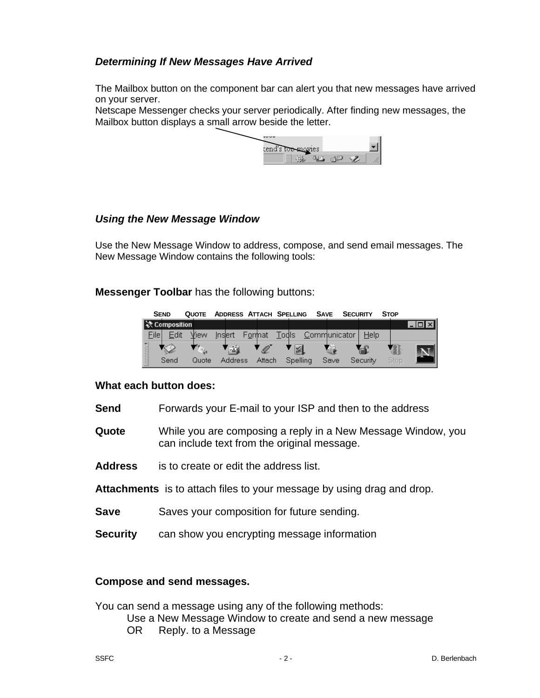#### *Determining If New Messages Have Arrived*

The Mailbox button on the component bar can alert you that new messages have arrived on your server.

Netscape Messenger checks your server periodically. After finding new messages, the Mailbox button displays a small arrow beside the letter.

| ---- | tend's <del>low-</del> movies. |  |  |
|------|--------------------------------|--|--|
|      |                                |  |  |

#### *Using the New Message Window*

Use the New Message Window to address, compose, and send email messages. The New Message Window contains the following tools:

**Messenger Toolbar** has the following buttons:

| <b>SEND</b> |                   |       |                | QUOTE ADDRESS ATTACH SPELLING |              | <b>SAVE</b> | <b>SECURITY</b> |          | <b>STOP</b> |  |
|-------------|-------------------|-------|----------------|-------------------------------|--------------|-------------|-----------------|----------|-------------|--|
|             | │ ҈ेर Composition |       |                |                               |              |             |                 |          |             |  |
| Filel       | Edit              | View  | Inslert        | Format                        | <b>Todls</b> |             | Communicator    | Help     |             |  |
| ananana.    | 1 S.D             |       | 國              | Ø                             | 図            |             | 一               |          | ł.          |  |
|             | Send              | Quote | <b>Address</b> | Attach                        | Spelling     |             | Save            | Security | Stop        |  |

#### **What each button does:**

- **Send** Forwards your E-mail to your ISP and then to the address
- **Quote** While you are composing a reply in a New Message Window, you can include text from the original message.
- **Address** is to create or edit the address list.
- **Attachments** is to attach files to your message by using drag and drop.
- **Save** Saves your composition for future sending.
- **Security** can show you encrypting message information

#### **Compose and send messages.**

You can send a message using any of the following methods:

Use a New Message Window to create and send a new message

OR Reply. to a Message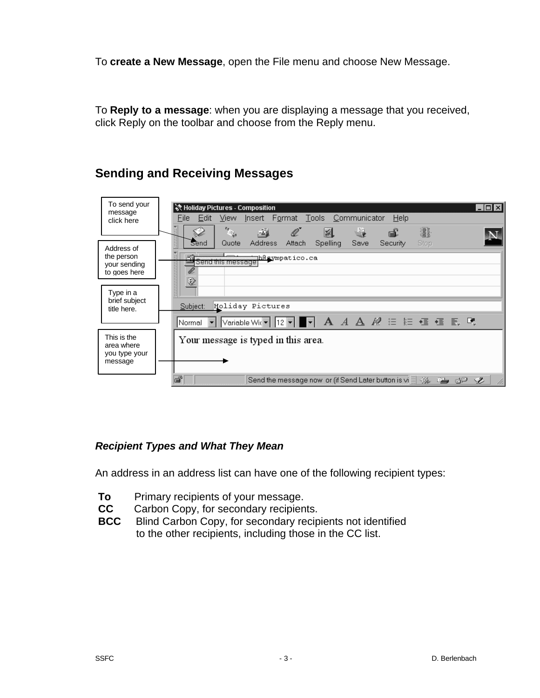To **create a New Message**, open the File menu and choose New Message.

To **Reply to a message**: when you are displaying a message that you received, click Reply on the toolbar and choose from the Reply menu.

# **Sending and Receiving Messages**

| To send your<br>message<br>click here                    | िल Holiday Pictures - Composition<br>$\blacksquare$ $\blacksquare$ $\times$<br>Insert Format Tools Communicator<br>Help<br>File<br>Edit<br>View<br>$\frac{e_{\theta}}{e_{\theta}}$                                |
|----------------------------------------------------------|-------------------------------------------------------------------------------------------------------------------------------------------------------------------------------------------------------------------|
| Address of<br>the person<br>your sending<br>to goes here | ł.<br>ℒ<br><u>a</u><br>图<br>画<br>e£<br>S.<br>訓<br><b>Address</b><br>Save<br>Attach<br><b>Spelling</b><br>Stop<br>Security<br>Quote<br><b>Send</b><br>原味<br>레<br><u>∏h@e</u> ympatico.ca<br>Send this message<br>夓 |
| Type in a<br>brief subject<br>title here.                | Holiday Pictures<br>Subject:<br>Variable Wit▼ 12▼ ■▼ A <i>A A A @</i> 注 註 這 這 長 및<br>Normal                                                                                                                       |
| This is the<br>area where<br>you type your<br>message    | Your message is typed in this area.                                                                                                                                                                               |
|                                                          | đ<br>Send the message now or (if Send Later button is vi目 ※ 電<br>Ž<br>gp                                                                                                                                          |

#### *Recipient Types and What They Mean*

An address in an address list can have one of the following recipient types:

- **To** Primary recipients of your message.
- **CC** Carbon Copy, for secondary recipients.
- **BCC** Blind Carbon Copy, for secondary recipients not identified to the other recipients, including those in the CC list.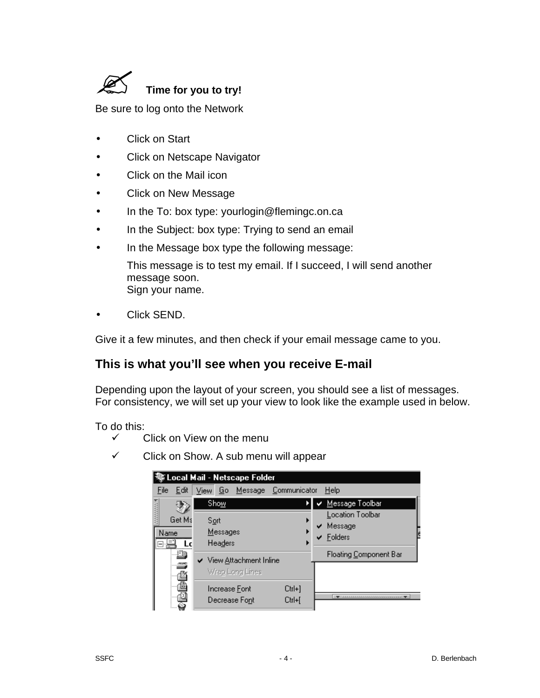

Be sure to log onto the Network

- **Click on Start**
- Click on Netscape Navigator
- Click on the Mail icon
- Click on New Message
- In the To: box type: yourlogin@flemingc.on.ca
- In the Subject: box type: Trying to send an email
- In the Message box type the following message: This message is to test my email. If I succeed, I will send another message soon. Sign your name.
- Click SEND.

Give it a few minutes, and then check if your email message came to you.

#### **This is what you'll see when you receive E-mail**

Depending upon the layout of your screen, you should see a list of messages. For consistency, we will set up your view to look like the example used in below.

To do this:

- $\checkmark$  Click on View on the menu
- $\checkmark$  Click on Show. A sub menu will appear

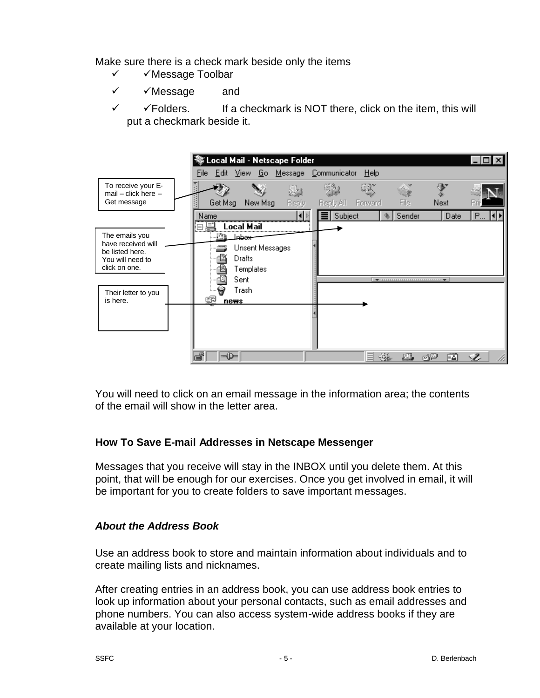Make sure there is a check mark beside only the items

- $\checkmark$   $\checkmark$  Message Toolbar
- $\checkmark$   $\checkmark$  Message and
- $\checkmark$   $\checkmark$  Folders. If a checkmark is NOT there, click on the item, this will put a checkmark beside it.



You will need to click on an email message in the information area; the contents of the email will show in the letter area.

#### **How To Save E-mail Addresses in Netscape Messenger**

Messages that you receive will stay in the INBOX until you delete them. At this point, that will be enough for our exercises. Once you get involved in email, it will be important for you to create folders to save important messages.

#### *About the Address Book*

Use an address book to store and maintain information about individuals and to create mailing lists and nicknames.

After creating entries in an address book, you can use address book entries to look up information about your personal contacts, such as email addresses and phone numbers. You can also access system-wide address books if they are available at your location.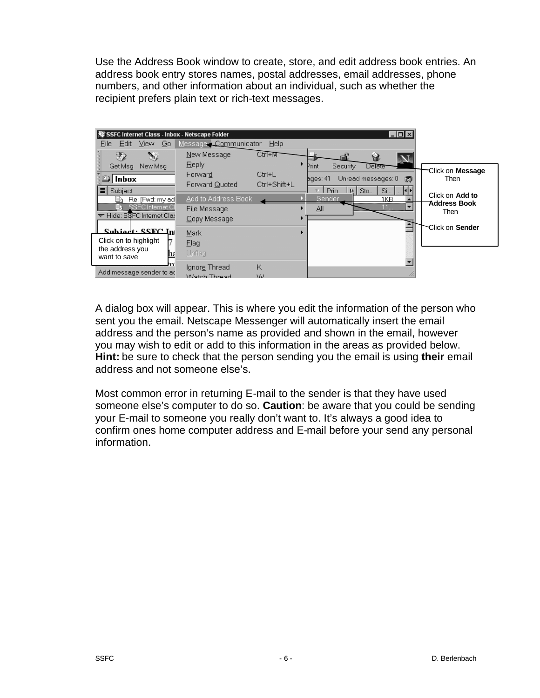Use the Address Book window to create, store, and edit address book entries. An address book entry stores names, postal addresses, email addresses, phone numbers, and other information about an individual, such as whether the recipient prefers plain text or rich-text messages.



A dialog box will appear. This is where you edit the information of the person who sent you the email. Netscape Messenger will automatically insert the email address and the person's name as provided and shown in the email, however you may wish to edit or add to this information in the areas as provided below. **Hint:** be sure to check that the person sending you the email is using **their** email address and not someone else's.

Most common error in returning E-mail to the sender is that they have used someone else's computer to do so. **Caution**: be aware that you could be sending your E-mail to someone you really don't want to. It's always a good idea to confirm ones home computer address and E-mail before your send any personal information.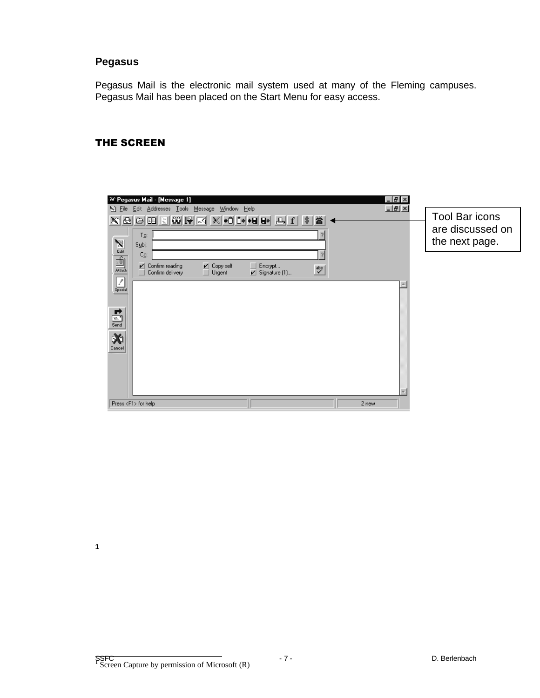#### **Pegasus**

Pegasus Mail is the electronic mail system used at many of the Fleming campuses. Pegasus Mail has been placed on the Start Menu for easy access.

#### THE SCREEN

|                                                         | <sup>34</sup> Pegasus Mail - [Message 1]                                                                                                                                                                               |                                  |                                   |                                                      | $  E $ $\times$ |                                                      |
|---------------------------------------------------------|------------------------------------------------------------------------------------------------------------------------------------------------------------------------------------------------------------------------|----------------------------------|-----------------------------------|------------------------------------------------------|-----------------|------------------------------------------------------|
| S File                                                  | Edit Addresses Tools Message Window Help<br>$\mathbf{X} \boxtimes \mathbf{B} \boxtimes \mathbf{B} \boxtimes \mathbf{A} \boxtimes \mathbf{B} \boxtimes \mathbf{A} \boxtimes \mathbf{B}$<br>$T_{\mathcal{Q}}$ :<br>Subj: |                                  |                                   | ă<br>$\overline{2}$                                  | $-10 \times$    | Tool Bar icons<br>are discussed on<br>the next page. |
| $\boxed{\mathcal{E}}$ special                           | Co:<br>$\nu$ Confirm reading<br>Confirm delivery                                                                                                                                                                       | $\nu$ Copy self<br>$\Box$ Urgent | Encrypt<br>$\angle$ Signature (1) | $\overline{?}$<br>$\overset{\text{abc}}{\checkmark}$ |                 |                                                      |
| $\overline{\mathbb{E}}$<br>$\mathbf{\hat{x}}$<br>Cancel |                                                                                                                                                                                                                        |                                  |                                   |                                                      |                 |                                                      |
|                                                         | Press <f1> for help</f1>                                                                                                                                                                                               |                                  |                                   |                                                      | 2 new           |                                                      |

**1**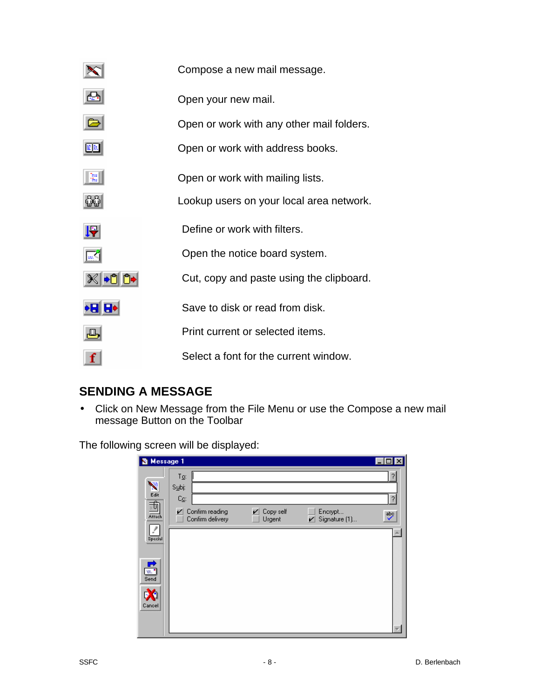|      | Compose a new mail message.               |
|------|-------------------------------------------|
|      | Open your new mail.                       |
|      | Open or work with any other mail folders. |
| Ξß   | Open or work with address books.          |
| 骝    | Open or work with mailing lists.          |
|      | Lookup users on your local area network.  |
|      |                                           |
| F    | Define or work with filters.              |
|      | Open the notice board system.             |
|      | Cut, copy and paste using the clipboard.  |
| 'I I | Save to disk or read from disk.           |
|      | Print current or selected items.          |

# **SENDING A MESSAGE**

• Click on New Message from the File Menu or use the Compose a new mail message Button on the Toolbar

The following screen will be displayed:

| 图 Message 1   |                                                                                                       | $\Box$ $\Box$ $\times$ |
|---------------|-------------------------------------------------------------------------------------------------------|------------------------|
| Ÿ.            | Tρ:<br>Subj:                                                                                          | ?                      |
| Edit<br>舌     | $\mathbb{C}_{\underline{\mathbb{C}}}$                                                                 | ?                      |
| Attach        | V<br>V<br>Confirm reading<br>Copy self<br>Encrypt<br>Confirm delivery<br>Urgent<br>Signature (1)<br>V | ᢟ                      |
| z<br>Special  |                                                                                                       |                        |
|               |                                                                                                       |                        |
| ➡<br>m."      |                                                                                                       |                        |
| Send          |                                                                                                       |                        |
| DO.<br>Cancel |                                                                                                       |                        |
|               |                                                                                                       |                        |
|               |                                                                                                       |                        |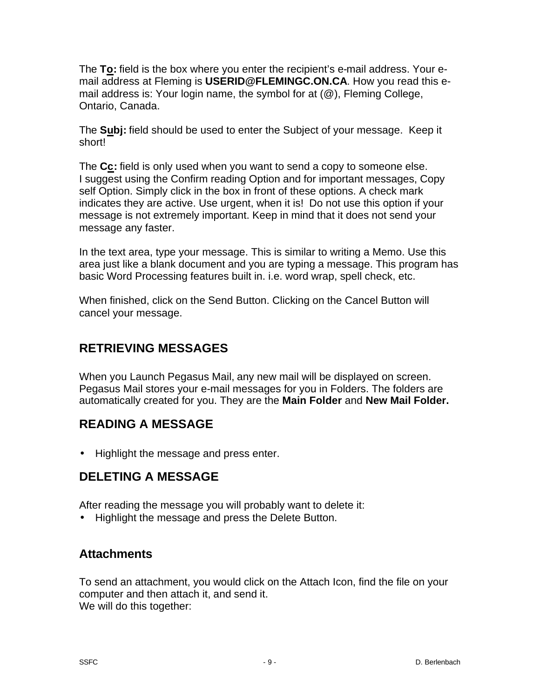The **To:** field is the box where you enter the recipient's e-mail address. Your email address at Fleming is **USERID@FLEMINGC.ON.CA**. How you read this email address is: Your login name, the symbol for at (@), Fleming College, Ontario, Canada.

The **Subj:** field should be used to enter the Subject of your message. Keep it short!

The **Cc:** field is only used when you want to send a copy to someone else. I suggest using the Confirm reading Option and for important messages, Copy self Option. Simply click in the box in front of these options. A check mark indicates they are active. Use urgent, when it is! Do not use this option if your message is not extremely important. Keep in mind that it does not send your message any faster.

In the text area, type your message. This is similar to writing a Memo. Use this area just like a blank document and you are typing a message. This program has basic Word Processing features built in. i.e. word wrap, spell check, etc.

When finished, click on the Send Button. Clicking on the Cancel Button will cancel your message.

# **RETRIEVING MESSAGES**

When you Launch Pegasus Mail, any new mail will be displayed on screen. Pegasus Mail stores your e-mail messages for you in Folders. The folders are automatically created for you. They are the **Main Folder** and **New Mail Folder.** 

# **READING A MESSAGE**

• Highlight the message and press enter.

# **DELETING A MESSAGE**

After reading the message you will probably want to delete it:

• Highlight the message and press the Delete Button.

## **Attachments**

To send an attachment, you would click on the Attach Icon, find the file on your computer and then attach it, and send it. We will do this together: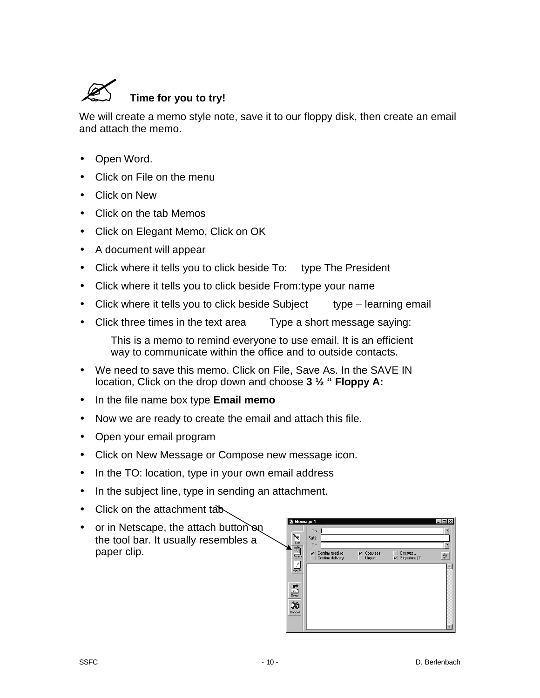

We will create a memo style note, save it to our floppy disk, then create an email and attach the memo.

- Open Word.
- Click on File on the menu
- Click on New
- Click on the tab Memos
- Click on Elegant Memo, Click on OK
- A document will appear
- Click where it tells you to click beside To: type The President
- Click where it tells you to click beside From:type your name
- Click where it tells you to click beside Subject type learning email
- Click three times in the text area Type a short message saying:

This is a memo to remind everyone to use email. It is an efficient way to communicate within the office and to outside contacts.

- We need to save this memo. Click on File, Save As. In the SAVE IN location, Click on the drop down and choose **3 ½ " Floppy A:**
- In the file name box type **Email memo**
- Now we are ready to create the email and attach this file.
- Open your email program
- Click on New Message or Compose new message icon.
- In the TO: location, type in your own email address
- In the subject line, type in sending an attachment.
- Click on the attachment tab
- or in Netscape, the attach button on the tool bar. It usually resembles a paper clip.

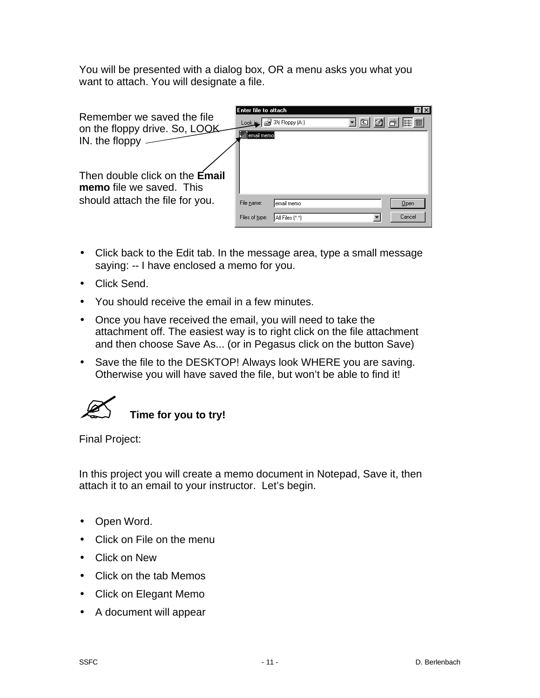You will be presented with a dialog box, OR a menu asks you what you want to attach. You will designate a file.

| Remember we saved the file<br>on the floppy drive. So, LOOK<br>IN. the floppy<br>Then double click on the Email<br>memo file we saved. This | Enter file to attach<br>∬email memo∮ | Look is: $\frac{1}{2}$ 3 <sup>1</sup> / <sub>2</sub> Floppy (A:) | 面 | ? x <br><b>EXECUTE</b> |
|---------------------------------------------------------------------------------------------------------------------------------------------|--------------------------------------|------------------------------------------------------------------|---|------------------------|
| should attach the file for you.                                                                                                             | File name:<br>Files of type:         | email memo<br>All Files (*.*)                                    |   | Open<br>Cancel         |

- Click back to the Edit tab. In the message area, type a small message saying: -- I have enclosed a memo for you.
- Click Send.
- You should receive the email in a few minutes.
- Once you have received the email, you will need to take the attachment off. The easiest way is to right click on the file attachment and then choose Save As... (or in Pegasus click on the button Save)
- Save the file to the DESKTOP! Always look WHERE you are saving. Otherwise you will have saved the file, but won't be able to find it!



Final Project:

In this project you will create a memo document in Notepad, Save it, then attach it to an email to your instructor. Let's begin.

- Open Word.
- Click on File on the menu
- Click on New
- Click on the tab Memos
- Click on Elegant Memo
- A document will appear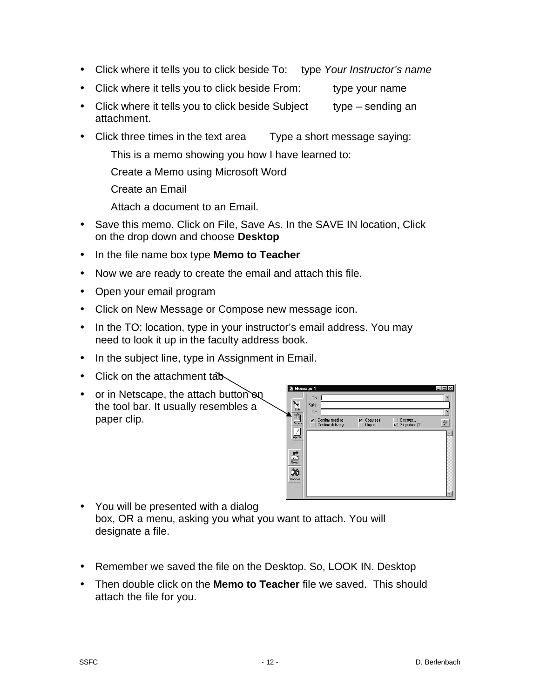- Click where it tells you to click beside To: type *Your Instructor's name*
- Click where it tells you to click beside From: type your name
- Click where it tells you to click beside Subject type sending an attachment.
- Click three times in the text area Type a short message saying:
	- This is a memo showing you how I have learned to:
	- Create a Memo using Microsoft Word
	- Create an Email
	- Attach a document to an Email.
- Save this memo. Click on File, Save As. In the SAVE IN location, Click on the drop down and choose **Desktop**
- In the file name box type **Memo to Teacher**
- Now we are ready to create the email and attach this file.
- Open your email program
- Click on New Message or Compose new message icon.
- In the TO: location, type in your instructor's email address. You may need to look it up in the faculty address book.
- In the subject line, type in Assignment in Email.
- Click on the attachment tab
- or in Netscape, the attach button on the tool bar. It usually resembles a paper clip.



- You will be presented with a dialog box, OR a menu, asking you what you want to attach. You will designate a file.
- Remember we saved the file on the Desktop. So, LOOK IN. Desktop
- Then double click on the **Memo to Teacher** file we saved. This should attach the file for you.